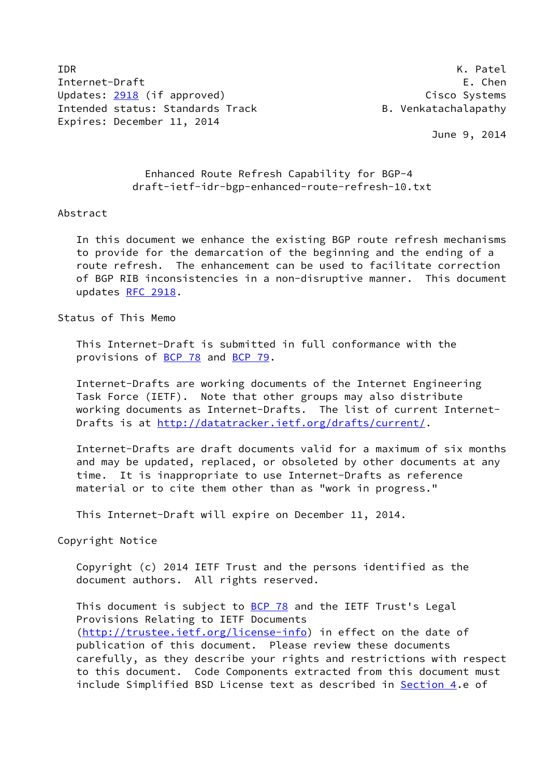IDR K. Patel Internet-Draft E. Chen Updates: [2918](https://datatracker.ietf.org/doc/pdf/rfc2918) (if approved) Cisco Systems Intended status: Standards Track and B. Venkatachalapathy Expires: December 11, 2014

June 9, 2014

## Enhanced Route Refresh Capability for BGP-4 draft-ietf-idr-bgp-enhanced-route-refresh-10.txt

#### Abstract

 In this document we enhance the existing BGP route refresh mechanisms to provide for the demarcation of the beginning and the ending of a route refresh. The enhancement can be used to facilitate correction of BGP RIB inconsistencies in a non-disruptive manner. This document updates [RFC 2918](https://datatracker.ietf.org/doc/pdf/rfc2918).

Status of This Memo

 This Internet-Draft is submitted in full conformance with the provisions of [BCP 78](https://datatracker.ietf.org/doc/pdf/bcp78) and [BCP 79](https://datatracker.ietf.org/doc/pdf/bcp79).

 Internet-Drafts are working documents of the Internet Engineering Task Force (IETF). Note that other groups may also distribute working documents as Internet-Drafts. The list of current Internet Drafts is at<http://datatracker.ietf.org/drafts/current/>.

 Internet-Drafts are draft documents valid for a maximum of six months and may be updated, replaced, or obsoleted by other documents at any time. It is inappropriate to use Internet-Drafts as reference material or to cite them other than as "work in progress."

This Internet-Draft will expire on December 11, 2014.

Copyright Notice

 Copyright (c) 2014 IETF Trust and the persons identified as the document authors. All rights reserved.

This document is subject to **[BCP 78](https://datatracker.ietf.org/doc/pdf/bcp78)** and the IETF Trust's Legal Provisions Relating to IETF Documents [\(http://trustee.ietf.org/license-info](http://trustee.ietf.org/license-info)) in effect on the date of publication of this document. Please review these documents carefully, as they describe your rights and restrictions with respect to this document. Code Components extracted from this document must include Simplified BSD License text as described in [Section 4.](#page-2-0)e of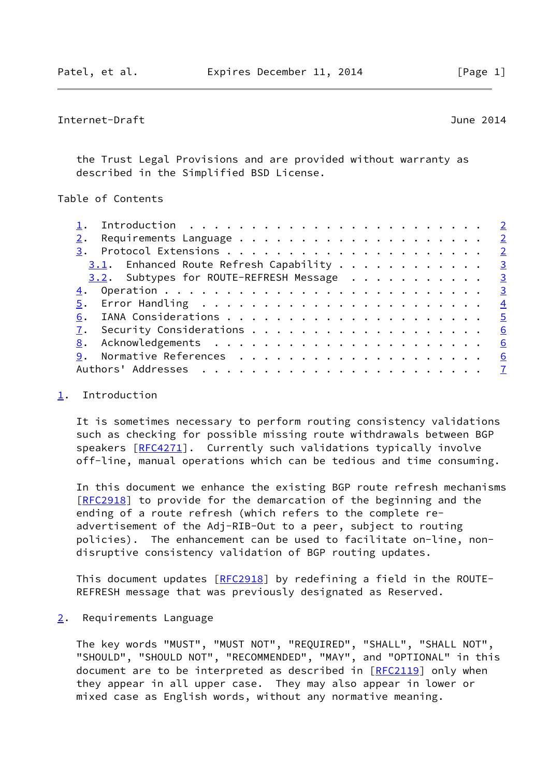# <span id="page-1-1"></span>Internet-Draft June 2014

 the Trust Legal Provisions and are provided without warranty as described in the Simplified BSD License.

Table of Contents

| $3.1$ . Enhanced Route Refresh Capability 3 |  |
|---------------------------------------------|--|
| 3.2. Subtypes for ROUTE-REFRESH Message 3   |  |
|                                             |  |
|                                             |  |
|                                             |  |
| 6                                           |  |
|                                             |  |
|                                             |  |
|                                             |  |

### <span id="page-1-0"></span>[1](#page-1-0). Introduction

 It is sometimes necessary to perform routing consistency validations such as checking for possible missing route withdrawals between BGP speakers [\[RFC4271](https://datatracker.ietf.org/doc/pdf/rfc4271)]. Currently such validations typically involve off-line, manual operations which can be tedious and time consuming.

 In this document we enhance the existing BGP route refresh mechanisms [\[RFC2918](https://datatracker.ietf.org/doc/pdf/rfc2918)] to provide for the demarcation of the beginning and the ending of a route refresh (which refers to the complete re advertisement of the Adj-RIB-Out to a peer, subject to routing policies). The enhancement can be used to facilitate on-line, non disruptive consistency validation of BGP routing updates.

This document updates [[RFC2918](https://datatracker.ietf.org/doc/pdf/rfc2918)] by redefining a field in the ROUTE-REFRESH message that was previously designated as Reserved.

<span id="page-1-2"></span>[2](#page-1-2). Requirements Language

 The key words "MUST", "MUST NOT", "REQUIRED", "SHALL", "SHALL NOT", "SHOULD", "SHOULD NOT", "RECOMMENDED", "MAY", and "OPTIONAL" in this document are to be interpreted as described in [\[RFC2119](https://datatracker.ietf.org/doc/pdf/rfc2119)] only when they appear in all upper case. They may also appear in lower or mixed case as English words, without any normative meaning.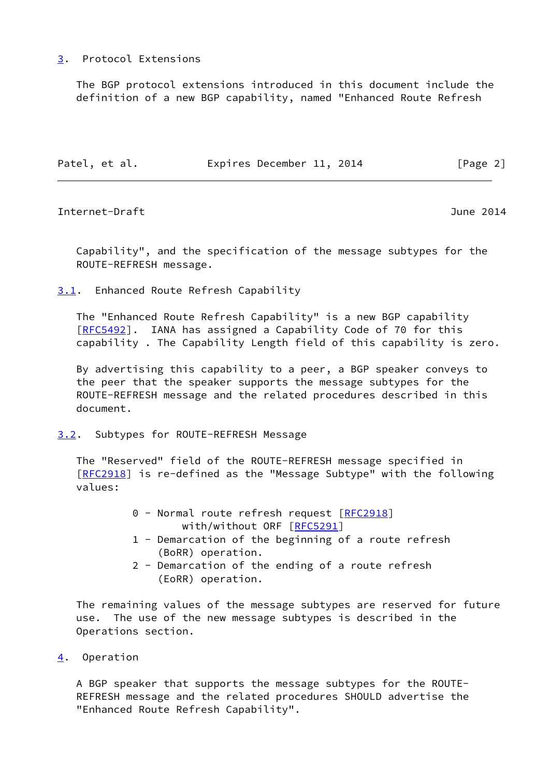## <span id="page-2-1"></span>[3](#page-2-1). Protocol Extensions

 The BGP protocol extensions introduced in this document include the definition of a new BGP capability, named "Enhanced Route Refresh

| Patel, et al.<br>Expires December 11, 2014 | [Page 2] |  |
|--------------------------------------------|----------|--|
|--------------------------------------------|----------|--|

<span id="page-2-3"></span>Internet-Draft June 2014

 Capability", and the specification of the message subtypes for the ROUTE-REFRESH message.

<span id="page-2-2"></span>[3.1](#page-2-2). Enhanced Route Refresh Capability

 The "Enhanced Route Refresh Capability" is a new BGP capability [\[RFC5492](https://datatracker.ietf.org/doc/pdf/rfc5492)]. IANA has assigned a Capability Code of 70 for this capability . The Capability Length field of this capability is zero.

 By advertising this capability to a peer, a BGP speaker conveys to the peer that the speaker supports the message subtypes for the ROUTE-REFRESH message and the related procedures described in this document.

<span id="page-2-4"></span>[3.2](#page-2-4). Subtypes for ROUTE-REFRESH Message

 The "Reserved" field of the ROUTE-REFRESH message specified in [\[RFC2918](https://datatracker.ietf.org/doc/pdf/rfc2918)] is re-defined as the "Message Subtype" with the following values:

- 0 Normal route refresh request [[RFC2918](https://datatracker.ietf.org/doc/pdf/rfc2918)] with/without ORF [[RFC5291](https://datatracker.ietf.org/doc/pdf/rfc5291)]
- 1 Demarcation of the beginning of a route refresh (BoRR) operation.
- 2 Demarcation of the ending of a route refresh (EoRR) operation.

 The remaining values of the message subtypes are reserved for future use. The use of the new message subtypes is described in the Operations section.

<span id="page-2-0"></span>[4](#page-2-0). Operation

 A BGP speaker that supports the message subtypes for the ROUTE- REFRESH message and the related procedures SHOULD advertise the "Enhanced Route Refresh Capability".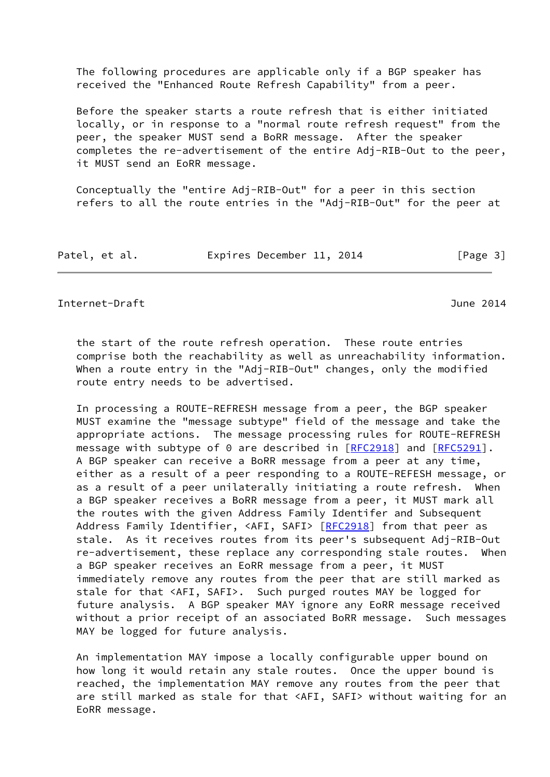The following procedures are applicable only if a BGP speaker has received the "Enhanced Route Refresh Capability" from a peer.

 Before the speaker starts a route refresh that is either initiated locally, or in response to a "normal route refresh request" from the peer, the speaker MUST send a BoRR message. After the speaker completes the re-advertisement of the entire Adj-RIB-Out to the peer, it MUST send an EoRR message.

 Conceptually the "entire Adj-RIB-Out" for a peer in this section refers to all the route entries in the "Adj-RIB-Out" for the peer at

| Patel, et al. |  | Expires December 11, 2014 |  | [Page 3] |
|---------------|--|---------------------------|--|----------|
|---------------|--|---------------------------|--|----------|

### <span id="page-3-0"></span>Internet-Draft June 2014

 the start of the route refresh operation. These route entries comprise both the reachability as well as unreachability information. When a route entry in the "Adj-RIB-Out" changes, only the modified route entry needs to be advertised.

 In processing a ROUTE-REFRESH message from a peer, the BGP speaker MUST examine the "message subtype" field of the message and take the appropriate actions. The message processing rules for ROUTE-REFRESH message with subtype of 0 are described in [[RFC2918\]](https://datatracker.ietf.org/doc/pdf/rfc2918) and [\[RFC5291](https://datatracker.ietf.org/doc/pdf/rfc5291)]. A BGP speaker can receive a BoRR message from a peer at any time, either as a result of a peer responding to a ROUTE-REFESH message, or as a result of a peer unilaterally initiating a route refresh. When a BGP speaker receives a BoRR message from a peer, it MUST mark all the routes with the given Address Family Identifer and Subsequent Address Family Identifier, <AFI, SAFI> [\[RFC2918](https://datatracker.ietf.org/doc/pdf/rfc2918)] from that peer as stale. As it receives routes from its peer's subsequent Adj-RIB-Out re-advertisement, these replace any corresponding stale routes. When a BGP speaker receives an EoRR message from a peer, it MUST immediately remove any routes from the peer that are still marked as stale for that <AFI, SAFI>. Such purged routes MAY be logged for future analysis. A BGP speaker MAY ignore any EoRR message received without a prior receipt of an associated BoRR message. Such messages MAY be logged for future analysis.

 An implementation MAY impose a locally configurable upper bound on how long it would retain any stale routes. Once the upper bound is reached, the implementation MAY remove any routes from the peer that are still marked as stale for that <AFI, SAFI> without waiting for an EoRR message.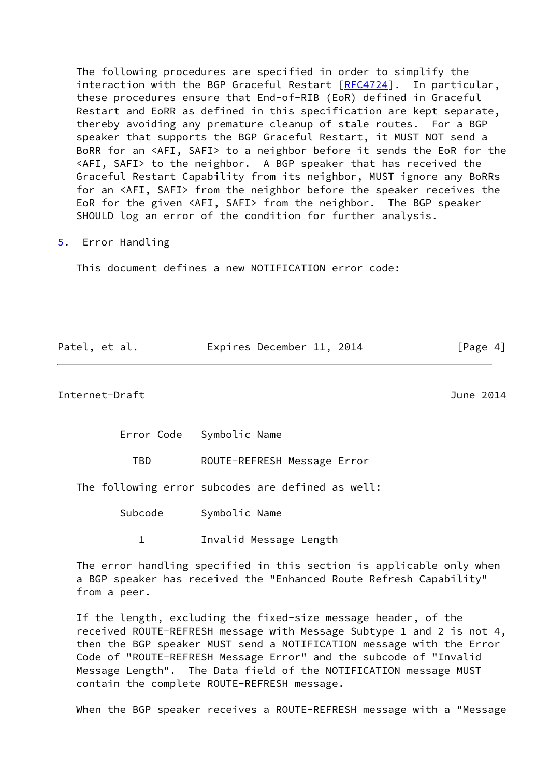The following procedures are specified in order to simplify the interaction with the BGP Graceful Restart [[RFC4724](https://datatracker.ietf.org/doc/pdf/rfc4724)]. In particular, these procedures ensure that End-of-RIB (EoR) defined in Graceful Restart and EoRR as defined in this specification are kept separate, thereby avoiding any premature cleanup of stale routes. For a BGP speaker that supports the BGP Graceful Restart, it MUST NOT send a BoRR for an <AFI, SAFI> to a neighbor before it sends the EoR for the <AFI, SAFI> to the neighbor. A BGP speaker that has received the Graceful Restart Capability from its neighbor, MUST ignore any BoRRs for an <AFI, SAFI> from the neighbor before the speaker receives the EoR for the given <AFI, SAFI> from the neighbor. The BGP speaker SHOULD log an error of the condition for further analysis.

<span id="page-4-0"></span>[5](#page-4-0). Error Handling

This document defines a new NOTIFICATION error code:

| Patel, et al. | Expires December 11, 2014 | [Page 4] |
|---------------|---------------------------|----------|
|               |                           |          |

<span id="page-4-1"></span>Internet-Draft June 2014

Error Code Symbolic Name

TBD ROUTE-REFRESH Message Error

The following error subcodes are defined as well:

Subcode Symbolic Name

1 Invalid Message Length

 The error handling specified in this section is applicable only when a BGP speaker has received the "Enhanced Route Refresh Capability" from a peer.

 If the length, excluding the fixed-size message header, of the received ROUTE-REFRESH message with Message Subtype 1 and 2 is not 4, then the BGP speaker MUST send a NOTIFICATION message with the Error Code of "ROUTE-REFRESH Message Error" and the subcode of "Invalid Message Length". The Data field of the NOTIFICATION message MUST contain the complete ROUTE-REFRESH message.

When the BGP speaker receives a ROUTE-REFRESH message with a "Message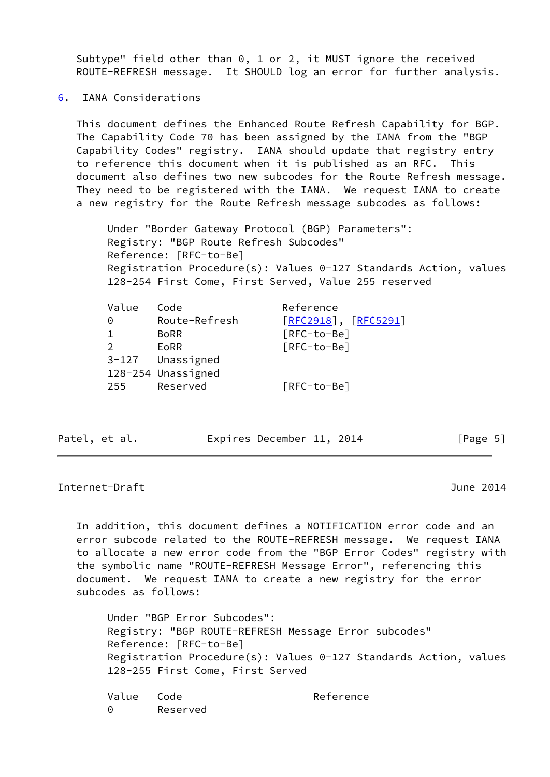Subtype" field other than 0, 1 or 2, it MUST ignore the received ROUTE-REFRESH message. It SHOULD log an error for further analysis.

<span id="page-5-0"></span>[6](#page-5-0). IANA Considerations

 This document defines the Enhanced Route Refresh Capability for BGP. The Capability Code 70 has been assigned by the IANA from the "BGP Capability Codes" registry. IANA should update that registry entry to reference this document when it is published as an RFC. This document also defines two new subcodes for the Route Refresh message. They need to be registered with the IANA. We request IANA to create a new registry for the Route Refresh message subcodes as follows:

 Under "Border Gateway Protocol (BGP) Parameters": Registry: "BGP Route Refresh Subcodes" Reference: [RFC-to-Be] Registration Procedure(s): Values 0-127 Standards Action, values 128-254 First Come, First Served, Value 255 reserved

| Value         | Code               | Reference            |
|---------------|--------------------|----------------------|
| 0             | Route-Refresh      | [RFC2918], [RFC5291] |
|               | <b>BoRR</b>        | [RFC-to-Be]          |
| $\mathcal{L}$ | <b>EORR</b>        | [RFC-to-Be]          |
| $3 - 127$     | Unassigned         |                      |
|               | 128-254 Unassigned |                      |
| 255           | Reserved           | [RFC-to-Be]          |

Patel, et al. Expires December 11, 2014 [Page 5]

<span id="page-5-1"></span>Internet-Draft June 2014

 In addition, this document defines a NOTIFICATION error code and an error subcode related to the ROUTE-REFRESH message. We request IANA to allocate a new error code from the "BGP Error Codes" registry with the symbolic name "ROUTE-REFRESH Message Error", referencing this document. We request IANA to create a new registry for the error subcodes as follows:

 Under "BGP Error Subcodes": Registry: "BGP ROUTE-REFRESH Message Error subcodes" Reference: [RFC-to-Be] Registration Procedure(s): Values 0-127 Standards Action, values 128-255 First Come, First Served

Value Code **Reference** 0 Reserved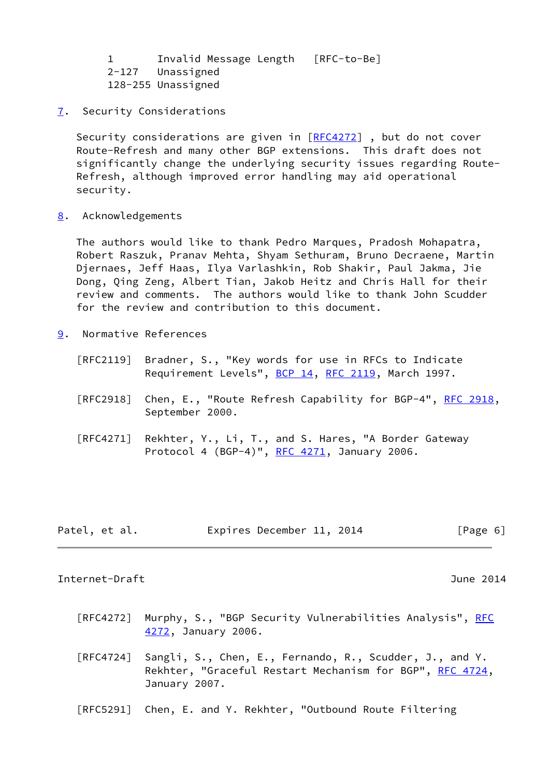|  | Invalid Message Length [RFC-to-Be] |  |
|--|------------------------------------|--|
|  | 2-127 Unassigned                   |  |
|  | 128-255 Unassigned                 |  |

<span id="page-6-0"></span>[7](#page-6-0). Security Considerations

Security considerations are given in [\[RFC4272](https://datatracker.ietf.org/doc/pdf/rfc4272)], but do not cover Route-Refresh and many other BGP extensions. This draft does not significantly change the underlying security issues regarding Route- Refresh, although improved error handling may aid operational security.

<span id="page-6-1"></span>[8](#page-6-1). Acknowledgements

 The authors would like to thank Pedro Marques, Pradosh Mohapatra, Robert Raszuk, Pranav Mehta, Shyam Sethuram, Bruno Decraene, Martin Djernaes, Jeff Haas, Ilya Varlashkin, Rob Shakir, Paul Jakma, Jie Dong, Qing Zeng, Albert Tian, Jakob Heitz and Chris Hall for their review and comments. The authors would like to thank John Scudder for the review and contribution to this document.

- <span id="page-6-2"></span>[9](#page-6-2). Normative References
	- [RFC2119] Bradner, S., "Key words for use in RFCs to Indicate Requirement Levels", [BCP 14](https://datatracker.ietf.org/doc/pdf/bcp14), [RFC 2119](https://datatracker.ietf.org/doc/pdf/rfc2119), March 1997.
	- [RFC2918] Chen, E., "Route Refresh Capability for BGP-4", [RFC 2918,](https://datatracker.ietf.org/doc/pdf/rfc2918) September 2000.
	- [RFC4271] Rekhter, Y., Li, T., and S. Hares, "A Border Gateway Protocol 4 (BGP-4)", [RFC 4271](https://datatracker.ietf.org/doc/pdf/rfc4271), January 2006.

| Patel, et al. | Expires December 11, 2014 |  |  | [Page 6] |
|---------------|---------------------------|--|--|----------|
|---------------|---------------------------|--|--|----------|

#### <span id="page-6-3"></span>Internet-Draft June 2014

- [RFC4272] Murphy, S., "BGP Security Vulnerabilities Analysis", <u>RFC</u> [4272,](https://datatracker.ietf.org/doc/pdf/rfc4272) January 2006.
- [RFC4724] Sangli, S., Chen, E., Fernando, R., Scudder, J., and Y. Rekhter, "Graceful Restart Mechanism for BGP", [RFC 4724](https://datatracker.ietf.org/doc/pdf/rfc4724), January 2007.
- [RFC5291] Chen, E. and Y. Rekhter, "Outbound Route Filtering